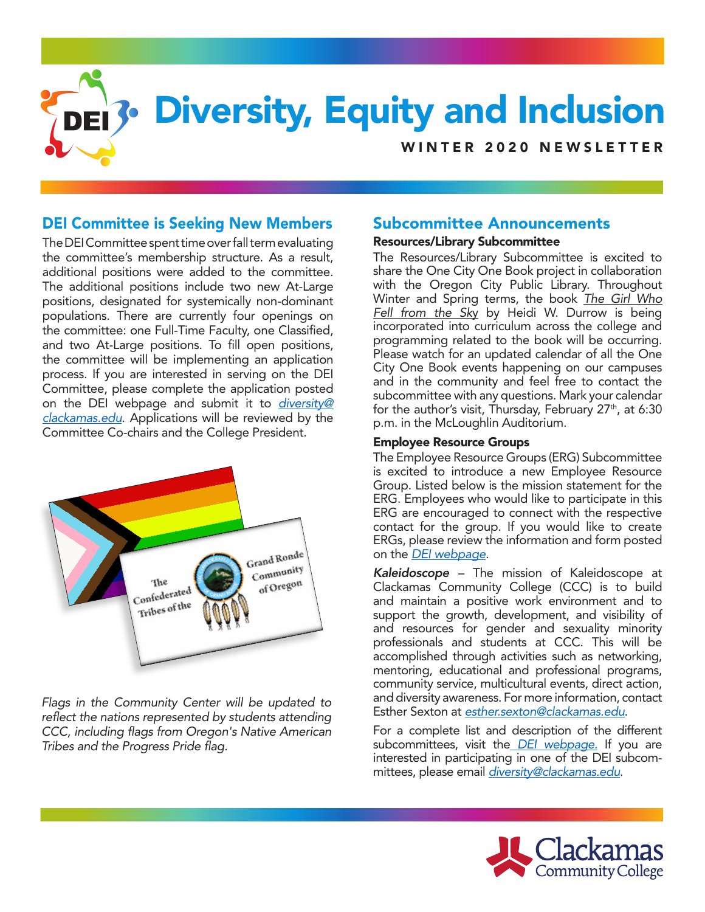

# DEI Committee is Seeking New Members

The DEI Committee spent time over fall term evaluating the committee's membership structure. As a result, additional positions were added to the committee. The additional positions include two new At-Large positions, designated for systemically non-dominant populations. There are currently four openings on the committee: one Full-Time Faculty, one Classified, and two At-Large positions. To fill open positions, the committee will be implementing an application process. If you are interested in serving on the DEI Committee, please complete the application posted on the DEI webpage and submit it to *[diversity@](mailto:diversity@clackamas.edu) [clackamas.edu](mailto:diversity@clackamas.edu)*. Applications will be reviewed by the Committee Co-chairs and the College President.



*Flags in the Community Center will be updated to reflect the nations represented by students attending CCC, including flags from Oregon's Native American Tribes and the Progress Pride flag.*

# Subcommittee Announcements

## Resources/Library Subcommittee

The Resources/Library Subcommittee is excited to share the One City One Book project in collaboration with the Oregon City Public Library. Throughout Winter and Spring terms, the book *The Girl Who Fell from the Sk*y by Heidi W. Durrow is being incorporated into curriculum across the college and programming related to the book will be occurring. Please watch for an updated calendar of all the One City One Book events happening on our campuses and in the community and feel free to contact the subcommittee with any questions. Mark your calendar for the author's visit, Thursday, February  $27<sup>th</sup>$ , at 6:30 p.m. in the McLoughlin Auditorium.

## Employee Resource Groups

The Employee Resource Groups (ERG) Subcommittee is excited to introduce a new Employee Resource Group. Listed below is the mission statement for the ERG. Employees who would like to participate in this ERG are encouraged to connect with the respective contact for the group. If you would like to create ERGs, please review the information and form posted on the *[DEI webpage](https://www.clackamas.edu/about-us/vision-initatives/diversity-equity-and-inclusion)*.

*Kaleidoscope* – The mission of Kaleidoscope at Clackamas Community College (CCC) is to build and maintain a positive work environment and to support the growth, development, and visibility of and resources for gender and sexuality minority professionals and students at CCC. This will be accomplished through activities such as networking, mentoring, educational and professional programs, community service, multicultural events, direct action, and diversity awareness. For more information, contact Esther Sexton at *[esther.sexton@clackamas.edu](mailto:esther.sexton@clackamas.edu)*.

For a complete list and description of the different subcommittees, visit the *[DEI webpage](https://www.clackamas.edu/about-us/vision-initatives/diversity-equity-and-inclusion).* If you are interested in participating in one of the DEI subcommittees, please email *[diversity@clackamas.edu](mailto:diversity@clackamas.edu)*.